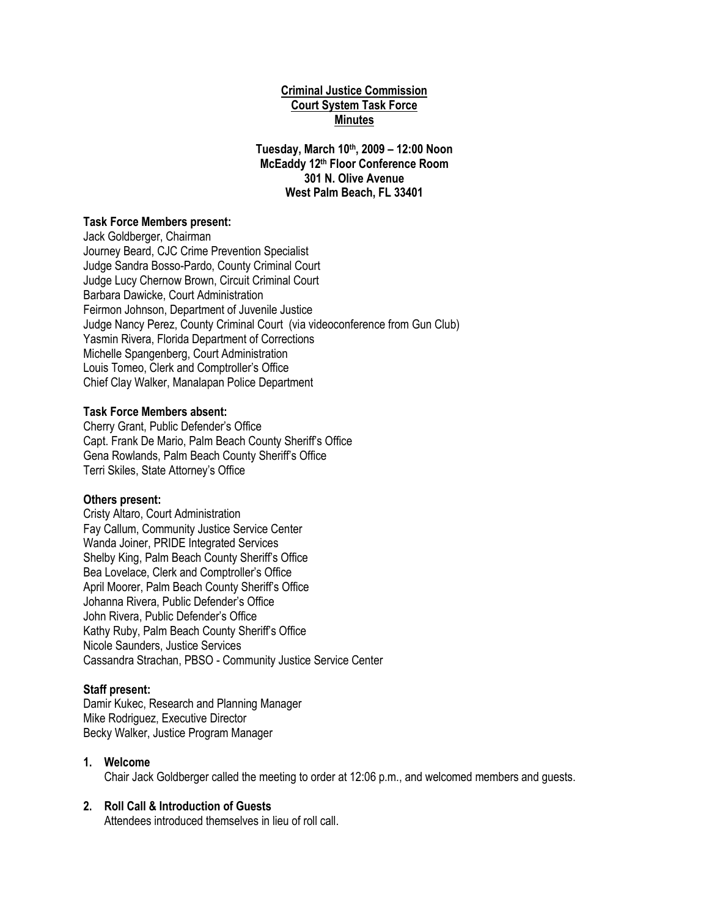# **Criminal Justice Commission Court System Task Force Minutes**

**Tuesday, March 10th, 2009 – 12:00 Noon McEaddy 12th Floor Conference Room 301 N. Olive Avenue West Palm Beach, FL 33401**

## **Task Force Members present:**

Jack Goldberger, Chairman Journey Beard, CJC Crime Prevention Specialist Judge Sandra Bosso-Pardo, County Criminal Court Judge Lucy Chernow Brown, Circuit Criminal Court Barbara Dawicke, Court Administration Feirmon Johnson, Department of Juvenile Justice Judge Nancy Perez, County Criminal Court (via videoconference from Gun Club) Yasmin Rivera, Florida Department of Corrections Michelle Spangenberg, Court Administration Louis Tomeo, Clerk and Comptroller's Office Chief Clay Walker, Manalapan Police Department

### **Task Force Members absent:**

Cherry Grant, Public Defender's Office Capt. Frank De Mario, Palm Beach County Sheriff's Office Gena Rowlands, Palm Beach County Sheriff's Office Terri Skiles, State Attorney's Office

## **Others present:**

Cristy Altaro, Court Administration Fay Callum, Community Justice Service Center Wanda Joiner, PRIDE Integrated Services Shelby King, Palm Beach County Sheriff's Office Bea Lovelace, Clerk and Comptroller's Office April Moorer, Palm Beach County Sheriff's Office Johanna Rivera, Public Defender's Office John Rivera, Public Defender's Office Kathy Ruby, Palm Beach County Sheriff's Office Nicole Saunders, Justice Services Cassandra Strachan, PBSO - Community Justice Service Center

#### **Staff present:**

Damir Kukec, Research and Planning Manager Mike Rodriguez, Executive Director Becky Walker, Justice Program Manager

## **1. Welcome**

Chair Jack Goldberger called the meeting to order at 12:06 p.m., and welcomed members and guests.

## **2. Roll Call & Introduction of Guests**

Attendees introduced themselves in lieu of roll call.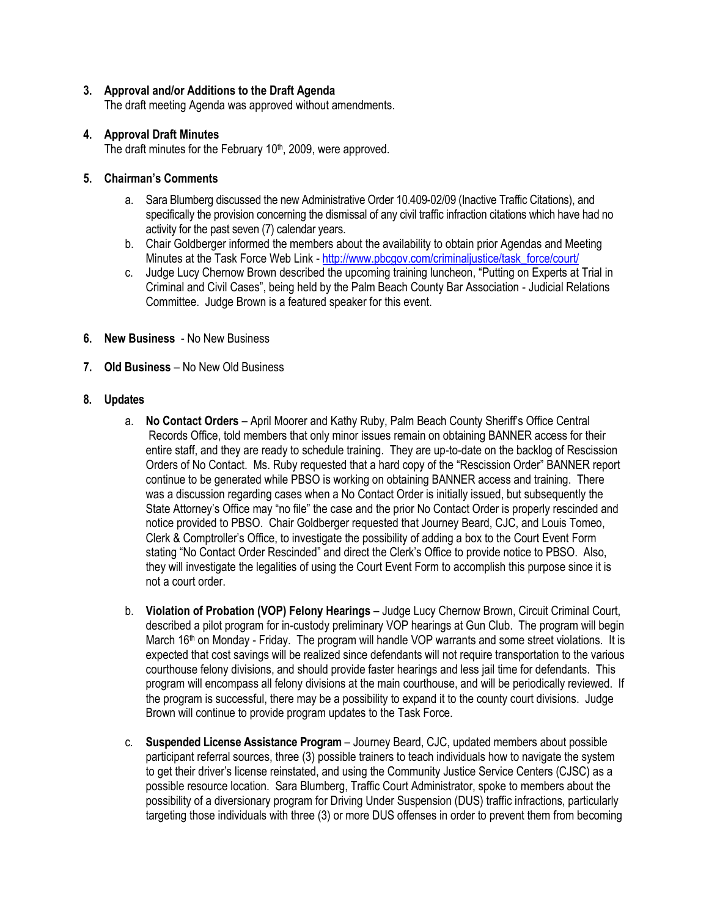# **3. Approval and/or Additions to the Draft Agenda**

The draft meeting Agenda was approved without amendments.

# **4. Approval Draft Minutes**

The draft minutes for the February 10<sup>th</sup>, 2009, were approved.

# **5. Chairman's Comments**

- a. Sara Blumberg discussed the new Administrative Order 10.409-02/09 (Inactive Traffic Citations), and specifically the provision concerning the dismissal of any civil traffic infraction citations which have had no activity for the past seven (7) calendar years.
- b. Chair Goldberger informed the members about the availability to obtain prior Agendas and Meeting Minutes at the Task Force Web Link - [http://www.pbcgov.com/criminaljustice/task\\_force/court/](http://www.pbcgov.com/criminaljustice/task_force/court/)
- c. Judge Lucy Chernow Brown described the upcoming training luncheon, "Putting on Experts at Trial in Criminal and Civil Cases", being held by the Palm Beach County Bar Association - Judicial Relations Committee. Judge Brown is a featured speaker for this event.
- **6. New Business** No New Business
- **7. Old Business** No New Old Business

## **8. Updates**

- a. **No Contact Orders** April Moorer and Kathy Ruby, Palm Beach County Sheriff's Office Central Records Office, told members that only minor issues remain on obtaining BANNER access for their entire staff, and they are ready to schedule training. They are up-to-date on the backlog of Rescission Orders of No Contact. Ms. Ruby requested that a hard copy of the "Rescission Order" BANNER report continue to be generated while PBSO is working on obtaining BANNER access and training. There was a discussion regarding cases when a No Contact Order is initially issued, but subsequently the State Attorney's Office may "no file" the case and the prior No Contact Order is properly rescinded and notice provided to PBSO. Chair Goldberger requested that Journey Beard, CJC, and Louis Tomeo, Clerk & Comptroller's Office, to investigate the possibility of adding a box to the Court Event Form stating "No Contact Order Rescinded" and direct the Clerk's Office to provide notice to PBSO. Also, they will investigate the legalities of using the Court Event Form to accomplish this purpose since it is not a court order.
- b. **Violation of Probation (VOP) Felony Hearings**  Judge Lucy Chernow Brown, Circuit Criminal Court, described a pilot program for in-custody preliminary VOP hearings at Gun Club. The program will begin March 16<sup>th</sup> on Monday - Friday. The program will handle VOP warrants and some street violations. It is expected that cost savings will be realized since defendants will not require transportation to the various courthouse felony divisions, and should provide faster hearings and less jail time for defendants. This program will encompass all felony divisions at the main courthouse, and will be periodically reviewed. If the program is successful, there may be a possibility to expand it to the county court divisions. Judge Brown will continue to provide program updates to the Task Force.
- c. **Suspended License Assistance Program** Journey Beard, CJC, updated members about possible participant referral sources, three (3) possible trainers to teach individuals how to navigate the system to get their driver's license reinstated, and using the Community Justice Service Centers (CJSC) as a possible resource location. Sara Blumberg, Traffic Court Administrator, spoke to members about the possibility of a diversionary program for Driving Under Suspension (DUS) traffic infractions, particularly targeting those individuals with three (3) or more DUS offenses in order to prevent them from becoming